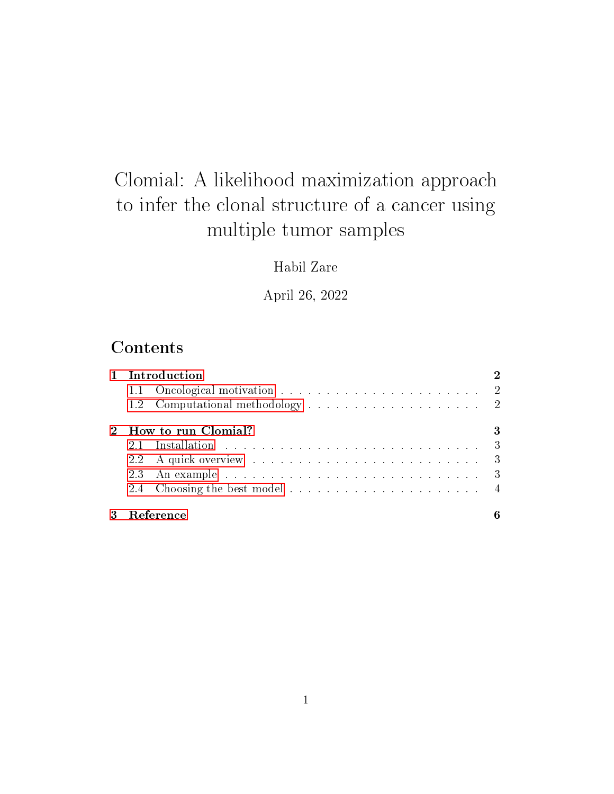# Clomial: A likelihood maximization approach to infer the clonal structure of a cancer using multiple tumor samples

### Habil Zare

April 26, 2022

## **Contents**

| 1 Introduction      |  |  |  |  |
|---------------------|--|--|--|--|
|                     |  |  |  |  |
|                     |  |  |  |  |
| How to run Clomial? |  |  |  |  |
|                     |  |  |  |  |
|                     |  |  |  |  |
|                     |  |  |  |  |
|                     |  |  |  |  |
| Reference           |  |  |  |  |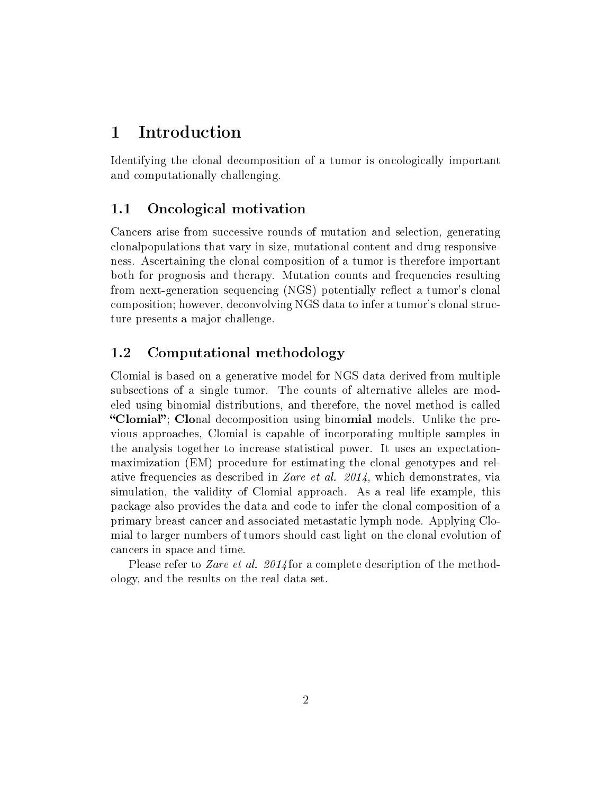### <span id="page-1-0"></span>1 Introduction

Identifying the clonal decomposition of a tumor is oncologically important and computationally challenging.

#### <span id="page-1-1"></span>1.1 Oncological motivation

Cancers arise from successive rounds of mutation and selection, generating clonalpopulations that vary in size, mutational content and drug responsiveness. Ascertaining the clonal composition of a tumor is therefore important both for prognosis and therapy. Mutation counts and frequencies resulting from next-generation sequencing (NGS) potentially reflect a tumor's clonal composition; however, deconvolving NGS data to infer a tumor's clonal structure presents a major challenge.

### <span id="page-1-2"></span>1.2 Computational methodology

Clomial is based on a generative model for NGS data derived from multiple subsections of a single tumor. The counts of alternative alleles are modeled using binomial distributions, and therefore, the novel method is called "Clomial"; Clonal decomposition using binomial models. Unlike the previous approaches, Clomial is capable of incorporating multiple samples in the analysis together to increase statistical power. It uses an expectationmaximization (EM) procedure for estimating the clonal genotypes and relative frequencies as described in Zare et al. 2014, which demonstrates, via simulation, the validity of Clomial approach. As a real life example, this package also provides the data and code to infer the clonal composition of a primary breast cancer and associated metastatic lymph node. Applying Clomial to larger numbers of tumors should cast light on the clonal evolution of cancers in space and time.

Please refer to Zare et al. 2014 for a complete description of the methodology, and the results on the real data set.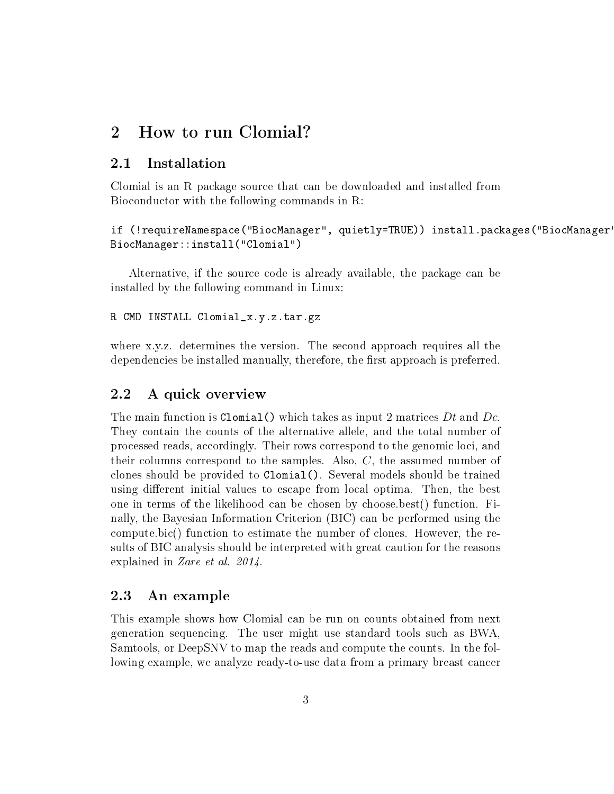### <span id="page-2-0"></span>2 How to run Clomial?

#### <span id="page-2-1"></span>2.1 Installation

Clomial is an R package source that can be downloaded and installed from Bioconductor with the following commands in R:

if (!requireNamespace("BiocManager", quietly=TRUE)) install.packages("BiocManager") BiocManager::install("Clomial")

Alternative, if the source code is already available, the package can be installed by the following command in Linux:

R CMD INSTALL Clomial\_x.y.z.tar.gz

where x.y.z. determines the version. The second approach requires all the dependencies be installed manually, therefore, the first approach is preferred.

#### <span id="page-2-2"></span>2.2 A quick overview

The main function is Clomial() which takes as input 2 matrices  $Dt$  and  $Dc$ . They contain the counts of the alternative allele, and the total number of processed reads, accordingly. Their rows correspond to the genomic loci, and their columns correspond to the samples. Also,  $C$ , the assumed number of clones should be provided to Clomial(). Several models should be trained using different initial values to escape from local optima. Then, the best one in terms of the likelihood can be chosen by choose.best() function. Finally, the Bayesian Information Criterion (BIC) can be performed using the compute.bic() function to estimate the number of clones. However, the results of BIC analysis should be interpreted with great caution for the reasons explained in Zare et al. 2014.

#### <span id="page-2-3"></span>2.3 An example

This example shows how Clomial can be run on counts obtained from next generation sequencing. The user might use standard tools such as BWA, Samtools, or DeepSNV to map the reads and compute the counts. In the following example, we analyze ready-to-use data from a primary breast cancer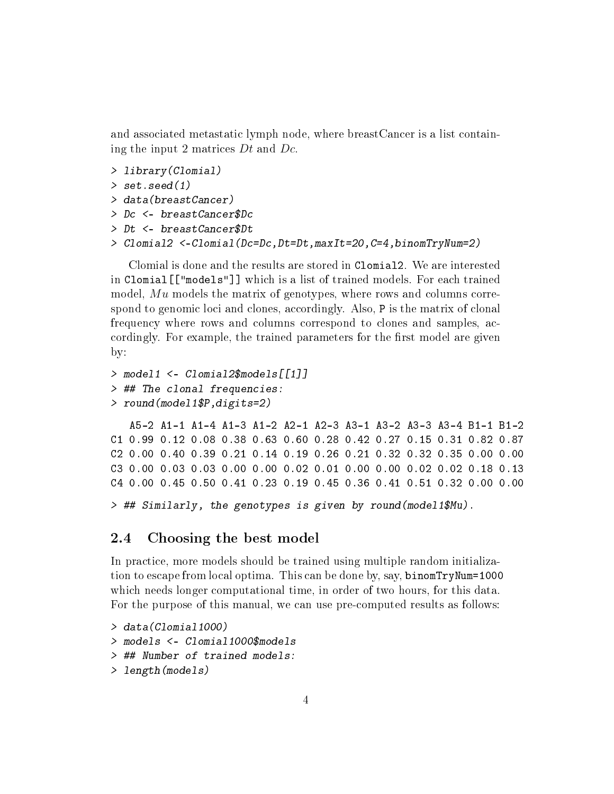and associated metastatic lymph node, where breastCancer is a list containing the input 2 matrices Dt and Dc.

```
> library(Clomial)
> set.seed(1)
> data(breastCancer)
> Dc <- breastCancer$Dc
> Dt <- breastCancer$Dt
> Clomial2 <-Clomial(Dc=Dc,Dt=Dt,maxIt=20,C=4,binomTryNum=2)
```
Clomial is done and the results are stored in Clomial2. We are interested in Clomial[["models"]] which is a list of trained models. For each trained model, Mu models the matrix of genotypes, where rows and columns correspond to genomic loci and clones, accordingly. Also, P is the matrix of clonal frequency where rows and columns correspond to clones and samples, accordingly. For example, the trained parameters for the first model are given by:

```
> model1 <- Clomial2$models[[1]]
> ## The clonal frequencies:
> round(model1$P,digits=2)
```
A5-2 A1-1 A1-4 A1-3 A1-2 A2-1 A2-3 A3-1 A3-2 A3-3 A3-4 B1-1 B1-2 C1 0.99 0.12 0.08 0.38 0.63 0.60 0.28 0.42 0.27 0.15 0.31 0.82 0.87 C2 0.00 0.40 0.39 0.21 0.14 0.19 0.26 0.21 0.32 0.32 0.35 0.00 0.00 C3 0.00 0.03 0.03 0.00 0.00 0.02 0.01 0.00 0.00 0.02 0.02 0.18 0.13 C4 0.00 0.45 0.50 0.41 0.23 0.19 0.45 0.36 0.41 0.51 0.32 0.00 0.00

```
> ## Similarly, the genotypes is given by round(model1$Mu).
```
#### <span id="page-3-0"></span>2.4 Choosing the best model

In practice, more models should be trained using multiple random initialization to escape from local optima. This can be done by, say, binomTryNum=1000 which needs longer computational time, in order of two hours, for this data. For the purpose of this manual, we can use pre-computed results as follows:

```
> data(Clomial1000)
> models <- Clomial1000$models
> ## Number of trained models:
> length(models)
```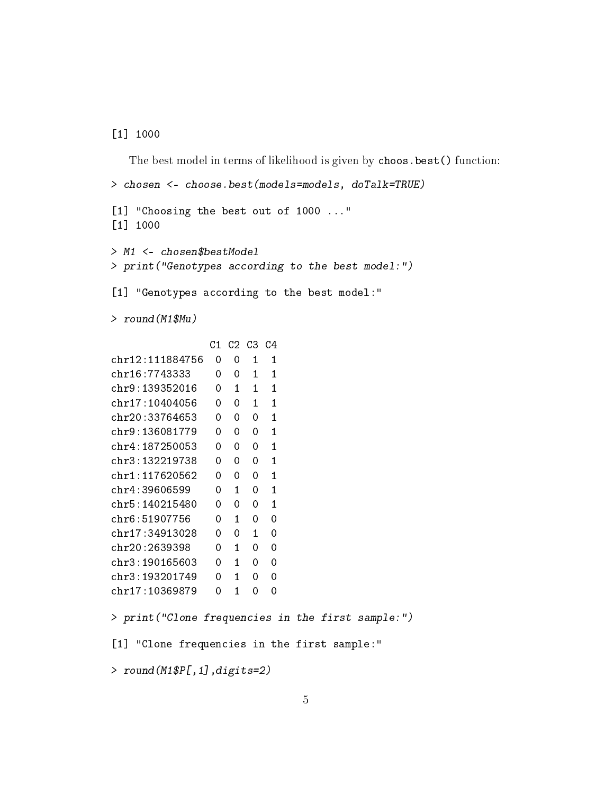[1] 1000

The best model in terms of likelihood is given by choos.best() function: > chosen <- choose.best(models=models, doTalk=TRUE) [1] "Choosing the best out of 1000 ..." [1] 1000 > M1 <- chosen\$bestModel > print("Genotypes according to the best model:") [1] "Genotypes according to the best model:" > round(M1\$Mu) C1 C2 C3 C4 chr12:111884756 0 0 1 1 chr16:7743333 0 0 1 1 chr9:139352016 0 1 1 1 chr17:10404056 0 0 1 1 chr20:33764653 0 0 0 1 chr9:136081779 0 0 0 1 chr4:187250053 0 0 0 1 chr3:132219738 0 0 0 1 chr1:117620562 0 0 0 1 chr4:39606599 0 1 0 1 chr5:140215480 0 0 0 1 chr6:51907756 0 1 0 0 chr17:34913028 0 0 1 0 chr20:2639398 0 1 0 0 chr3:190165603 0 1 0 0 chr3:193201749 0 1 0 0 chr17:10369879 0 1 0 0 > print("Clone frequencies in the first sample:") [1] "Clone frequencies in the first sample:"

> round(M1\$P[,1],digits=2)